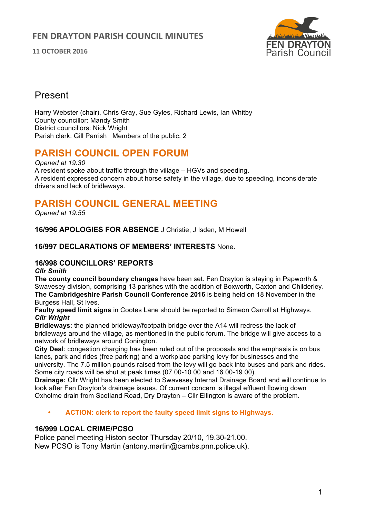**11 OCTOBER 2016**



## Present

Harry Webster (chair), Chris Gray, Sue Gyles, Richard Lewis, Ian Whitby County councillor: Mandy Smith District councillors: Nick Wright Parish clerk: Gill Parrish Members of the public: 2

# **PARISH COUNCIL OPEN FORUM**

*Opened at 19.30* A resident spoke about traffic through the village – HGVs and speeding. A resident expressed concern about horse safety in the village, due to speeding, inconsiderate drivers and lack of bridleways.

# **PARISH COUNCIL GENERAL MEETING**

*Opened at 19.55*

**16/996 APOLOGIES FOR ABSENCE** J Christie, J Isden, M Howell

## **16/997 DECLARATIONS OF MEMBERS' INTERESTS** None.

## **16/998 COUNCILLORS' REPORTS**

*Cllr Smith*

**The county council boundary changes** have been set. Fen Drayton is staying in Papworth & Swavesey division, comprising 13 parishes with the addition of Boxworth, Caxton and Childerley. **The Cambridgeshire Parish Council Conference 2016** is being held on 18 November in the Burgess Hall, St Ives.

**Faulty speed limit signs** in Cootes Lane should be reported to Simeon Carroll at Highways. *Cllr Wright*

**Bridleways**: the planned bridleway/footpath bridge over the A14 will redress the lack of bridleways around the village, as mentioned in the public forum. The bridge will give access to a network of bridleways around Conington.

**City Deal**: congestion charging has been ruled out of the proposals and the emphasis is on bus lanes, park and rides (free parking) and a workplace parking levy for businesses and the university. The 7.5 million pounds raised from the levy will go back into buses and park and rides. Some city roads will be shut at peak times (07 00-10 00 and 16 00-19 00).

**Drainage:** Cllr Wright has been elected to Swavesey Internal Drainage Board and will continue to look after Fen Drayton's drainage issues. Of current concern is illegal effluent flowing down Oxholme drain from Scotland Road, Dry Drayton – Cllr Ellington is aware of the problem.

• **ACTION: clerk to report the faulty speed limit signs to Highways.**

## **16/999 LOCAL CRIME/PCSO**

Police panel meeting Histon sector Thursday 20/10, 19.30-21.00. New PCSO is Tony Martin (antony.martin@cambs.pnn.police.uk).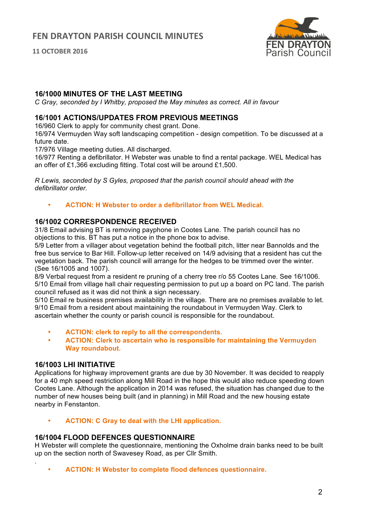**11 OCTOBER 2016**



## **16/1000 MINUTES OF THE LAST MEETING**

*C Gray, seconded by I Whitby, proposed the May minutes as correct. All in favour*

### **16**/**1001 ACTIONS/UPDATES FROM PREVIOUS MEETINGS**

16/960 Clerk to apply for community chest grant. Done.

16/974 Vermuyden Way soft landscaping competition - design competition. To be discussed at a future date.

17/976 Village meeting duties. All discharged.

16/977 Renting a defibrillator. H Webster was unable to find a rental package. WEL Medical has an offer of £1,366 excluding fitting. Total cost will be around £1,500.

*R Lewis, seconded by S Gyles, proposed that the parish council should ahead with the defibrillator order.*

• **ACTION: H Webster to order a defibrillator from WEL Medical.**

#### **16/1002 CORRESPONDENCE RECEIVED**

31/8 Email advising BT is removing payphone in Cootes Lane. The parish council has no objections to this. BT has put a notice in the phone box to advise.

5/9 Letter from a villager about vegetation behind the football pitch, litter near Bannolds and the free bus service to Bar Hill. Follow-up letter received on 14/9 advising that a resident has cut the vegetation back. The parish council will arrange for the hedges to be trimmed over the winter. (See 16/1005 and 1007).

8/9 Verbal request from a resident re pruning of a cherry tree r/o 55 Cootes Lane. See 16/1006. 5/10 Email from village hall chair requesting permission to put up a board on PC land. The parish council refused as it was did not think a sign necessary.

5/10 Email re business premises availability in the village. There are no premises available to let. 9/10 Email from a resident about maintaining the roundabout in Vermuyden Way. Clerk to ascertain whether the county or parish council is responsible for the roundabout.

- **ACTION: clerk to reply to all the correspondents.**
- **ACTION: Clerk to ascertain who is responsible for maintaining the Vermuyden Way roundabout.**

#### **16/1003 LHI INITIATIVE**

.

Applications for highway improvement grants are due by 30 November. It was decided to reapply for a 40 mph speed restriction along Mill Road in the hope this would also reduce speeding down Cootes Lane. Although the application in 2014 was refused, the situation has changed due to the number of new houses being built (and in planning) in Mill Road and the new housing estate nearby in Fenstanton.

• **ACTION: C Gray to deal with the LHI application.**

#### **16/1004 FLOOD DEFENCES QUESTIONNAIRE**

H Webster will complete the questionnaire, mentioning the Oxholme drain banks need to be built up on the section north of Swavesey Road, as per Cllr Smith.

• **ACTION: H Webster to complete flood defences questionnaire.**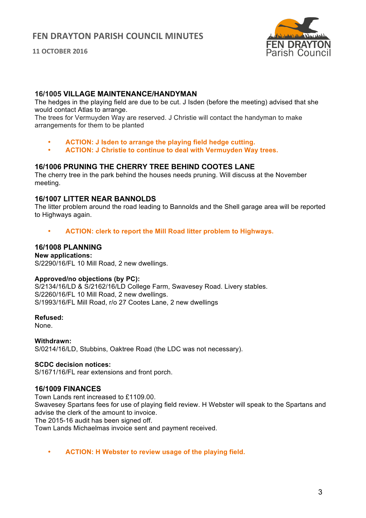**11 OCTOBER 2016**



## **16/1005 VILLAGE MAINTENANCE/HANDYMAN**

The hedges in the playing field are due to be cut. J Isden (before the meeting) advised that she would contact Atlas to arrange.

The trees for Vermuyden Way are reserved. J Christie will contact the handyman to make arrangements for them to be planted

- **ACTION: J Isden to arrange the playing field hedge cutting.**
- **ACTION: J Christie to continue to deal with Vermuyden Way trees.**

## **16/1006 PRUNING THE CHERRY TREE BEHIND COOTES LANE**

The cherry tree in the park behind the houses needs pruning. Will discuss at the November meeting.

## **16/1007 LITTER NEAR BANNOLDS**

The litter problem around the road leading to Bannolds and the Shell garage area will be reported to Highways again.

• **ACTION: clerk to report the Mill Road litter problem to Highways.**

## **16/1008 PLANNING**

**New applications:**  S/2290/16/FL 10 Mill Road, 2 new dwellings.

#### **Approved/no objections (by PC):**

S/2134/16/LD & S/2162/16/LD College Farm, Swavesey Road. Livery stables. S/2260/16/FL 10 Mill Road, 2 new dwellings. S/1993/16/FL Mill Road, r/o 27 Cootes Lane, 2 new dwellings

## **Refused:**

None.

**Withdrawn:** S/0214/16/LD, Stubbins, Oaktree Road (the LDC was not necessary).

#### **SCDC decision notices:**

S/1671/16/FL rear extensions and front porch.

## **16/1009 FINANCES**

Town Lands rent increased to £1109.00. Swavesey Spartans fees for use of playing field review. H Webster will speak to the Spartans and advise the clerk of the amount to invoice. The 2015-16 audit has been signed off. Town Lands Michaelmas invoice sent and payment received.

• **ACTION: H Webster to review usage of the playing field.**